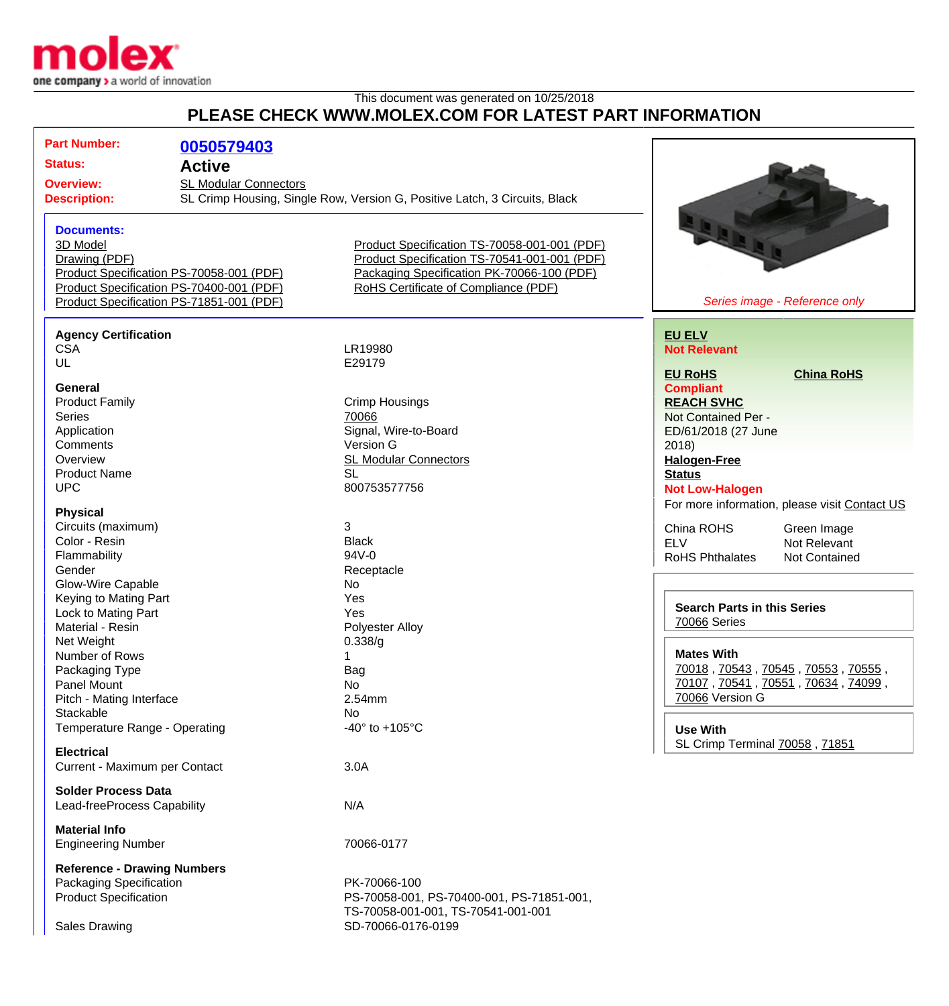

## This document was generated on 10/25/2018 **PLEASE CHECK WWW.MOLEX.COM FOR LATEST PART INFORMATION**

| <b>Part Number:</b>                     | 0050579403                                                                                                 |                                              |                                               |
|-----------------------------------------|------------------------------------------------------------------------------------------------------------|----------------------------------------------|-----------------------------------------------|
| <b>Status:</b>                          | <b>Active</b>                                                                                              |                                              |                                               |
| <b>Overview:</b><br><b>Description:</b> | <b>SL Modular Connectors</b><br>SL Crimp Housing, Single Row, Version G, Positive Latch, 3 Circuits, Black |                                              |                                               |
| <b>Documents:</b>                       |                                                                                                            |                                              |                                               |
| 3D Model                                |                                                                                                            | Product Specification TS-70058-001-001 (PDF) |                                               |
| Drawing (PDF)                           |                                                                                                            | Product Specification TS-70541-001-001 (PDF) |                                               |
|                                         | Product Specification PS-70058-001 (PDF)                                                                   | Packaging Specification PK-70066-100 (PDF)   |                                               |
|                                         | Product Specification PS-70400-001 (PDF)                                                                   | RoHS Certificate of Compliance (PDF)         |                                               |
|                                         | Product Specification PS-71851-001 (PDF)                                                                   |                                              | Series image - Reference only                 |
| <b>Agency Certification</b>             |                                                                                                            |                                              | <b>EU ELV</b>                                 |
| <b>CSA</b>                              |                                                                                                            | LR19980                                      | <b>Not Relevant</b>                           |
| UL                                      |                                                                                                            | E29179                                       |                                               |
|                                         |                                                                                                            |                                              | <b>EU RoHS</b><br><b>China RoHS</b>           |
| General                                 |                                                                                                            |                                              | <b>Compliant</b>                              |
| <b>Product Family</b>                   |                                                                                                            | <b>Crimp Housings</b>                        | <b>REACH SVHC</b>                             |
| <b>Series</b>                           |                                                                                                            | 70066                                        | Not Contained Per -                           |
| Application                             |                                                                                                            | Signal, Wire-to-Board                        | ED/61/2018 (27 June                           |
| Comments                                |                                                                                                            | Version G                                    | 2018                                          |
| Overview                                |                                                                                                            | <b>SL Modular Connectors</b>                 | <b>Halogen-Free</b>                           |
| <b>Product Name</b>                     |                                                                                                            | <b>SL</b>                                    | <b>Status</b>                                 |
| <b>UPC</b>                              |                                                                                                            | 800753577756                                 | <b>Not Low-Halogen</b>                        |
| <b>Physical</b>                         |                                                                                                            |                                              | For more information, please visit Contact US |
| Circuits (maximum)                      |                                                                                                            | 3                                            | China ROHS                                    |
| Color - Resin                           |                                                                                                            | <b>Black</b>                                 | Green Image<br><b>ELV</b><br>Not Relevant     |
| Flammability                            |                                                                                                            | 94V-0                                        | <b>RoHS Phthalates</b><br>Not Contained       |
| Gender                                  |                                                                                                            | Receptacle                                   |                                               |
| Glow-Wire Capable                       |                                                                                                            | No                                           |                                               |
| Keying to Mating Part                   |                                                                                                            | Yes                                          |                                               |
| Lock to Mating Part                     |                                                                                                            | Yes                                          | <b>Search Parts in this Series</b>            |
| Material - Resin                        |                                                                                                            | Polyester Alloy                              | 70066 Series                                  |
| Net Weight                              |                                                                                                            | 0.338/g                                      |                                               |
| Number of Rows                          |                                                                                                            |                                              | <b>Mates With</b>                             |
| Packaging Type                          |                                                                                                            | Bag                                          | 70018, 70543, 70545, 70553, 70555,            |
| Panel Mount                             |                                                                                                            | No                                           | 70107, 70541, 70551, 70634, 74099,            |
| Pitch - Mating Interface                |                                                                                                            | 2.54mm                                       | 70066 Version G                               |
| Stackable                               |                                                                                                            | No.                                          |                                               |
| Temperature Range - Operating           |                                                                                                            | -40 $\degree$ to +105 $\degree$ C            | <b>Use With</b>                               |
| <b>Electrical</b>                       |                                                                                                            |                                              | SL Crimp Terminal 70058, 71851                |
| Current - Maximum per Contact           |                                                                                                            | 3.0A                                         |                                               |
| <b>Solder Process Data</b>              |                                                                                                            |                                              |                                               |
| Lead-freeProcess Capability             |                                                                                                            | N/A                                          |                                               |
| <b>Material Info</b>                    |                                                                                                            |                                              |                                               |
| <b>Engineering Number</b>               |                                                                                                            | 70066-0177                                   |                                               |
| <b>Reference - Drawing Numbers</b>      |                                                                                                            |                                              |                                               |
| <b>Packaging Specification</b>          |                                                                                                            | PK-70066-100                                 |                                               |
| <b>Product Specification</b>            |                                                                                                            | PS-70058-001, PS-70400-001, PS-71851-001,    |                                               |
|                                         |                                                                                                            | TS-70058-001-001, TS-70541-001-001           |                                               |
|                                         |                                                                                                            | SD-70066-0176-0199                           |                                               |